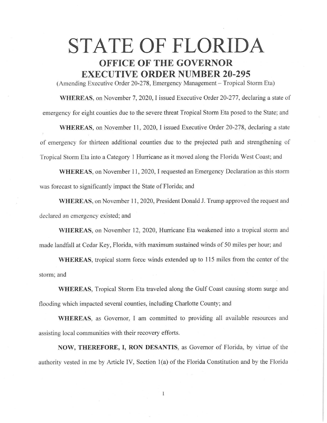## STATE OF FLORIDA **OFFICE OF THE GOVERNOR EXECUTIVE ORDER NUMBER 20-295**

(Amending Executive Order 20-278, Emergency Management – Tropical Storm Eta)

**WHEREAS,** on November 7, 2020, I issued Executive Order 20-277, declaring a state of emergency for eight counties due to the severe threat Tropical Storm Eta posed to the State; and

**WHEREAS,** on November 11, 2020, I issued Executive Order 20-278, declaring a state of emergency for thirteen additional counties due to the projected path and strengthening of Tropical Storm Eta into a Category 1 Hurricane as it moved along the Florida West Coast; and

**WHEREAS,** on November 11, 2020, I requested an Emergency Declaration as this storm was forecast to significantly impact the State of Florida; and

WHEREAS, on November 11, 2020, President Donald J. Trump approved the request and declared an emergency existed; and

**WHEREAS,** on November 12, 2020, Hurricane Eta weakened into a tropical storm and made landfall at Cedar Key, Florida, with maximum sustained winds of 50 miles per hour; and

**WHEREAS,** tropical storm force winds extended up to 115 miles from the center of the storm; and

**WHEREAS,** Tropical Storm Eta traveled along the Gulf Coast causing storm surge and flooding which impacted several counties, including Charlotte County; and

**WHEREAS,** as Governor, I am committed to providing all available resources and assisting local communities with their recovery efforts.

**NOW, THEREFORE,** I, **RON DESANTIS,** as Governor of Florida, by virtue of the authority vested in me by Article IV, Section 1(a) of the Florida Constitution and by the Florida

 $\mathbf{1}$